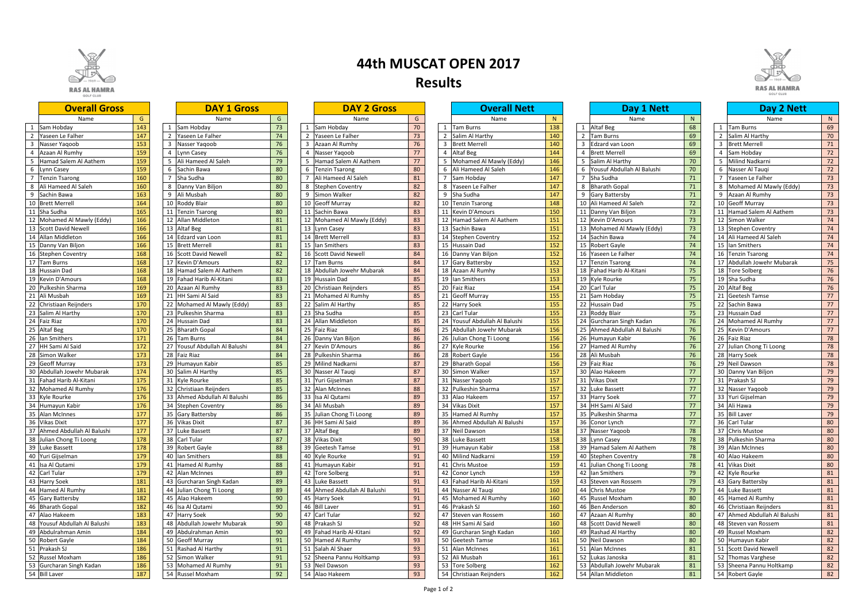| <b>Overall Gross</b>          |     | <b>DAY 1 Gross</b>            |    |                 | <b>DAY 2 Gross</b>           |    | <b>Overall Nett</b>           |                  | Day 1 Nett                   |    | Day 2 Nett                   |    |
|-------------------------------|-----|-------------------------------|----|-----------------|------------------------------|----|-------------------------------|------------------|------------------------------|----|------------------------------|----|
| Name                          | G   | Name                          | G  |                 | Name                         | G  | Name                          | N                | Name                         |    | Name                         |    |
| Sam Hobday                    | 143 | Sam Hobday                    | 73 | 1               | Sam Hobday                   | 70 | 1 Tam Burns                   | 138              | 1 Altaf Beg                  | 68 | <b>Tam Burns</b>             | 69 |
| Yaseen Le Falher              | 147 | Yaseen Le Falher              | 74 | 2               | Yaseen Le Falher             | 73 | 2 Salim Al Harthy             | 140              | 2 Tam Burns                  | 69 | Salim Al Harthy              | 70 |
| Nasser Yaqoob                 | 153 | Nasser Yagoob                 | 76 | 3               | Azaan Al Rumhy               | 76 | 3 Brett Merrell               | 140              | Edzard van Loon              | 69 | <b>Brett Merrell</b>         | 71 |
| Azaan Al Rumhy                | 159 | Lynn Casey                    | 76 |                 | Nasser Yaqoob                | 77 | 4 Altaf Beg                   | 144              | <b>Brett Merrell</b>         | 69 | Sam Hobday                   | 72 |
| Hamad Salem Al Aathem         | 159 | Ali Hameed Al Saleh           | 79 |                 | Hamad Salem Al Aathem        | 77 | 5 Mohamed Al Mawly (Eddy)     | 146              | 5 Salim Al Harthy            | 70 | <b>Milind Nadkarni</b>       | 72 |
| Lynn Casey                    | 159 | Sachin Bawa                   | 80 | 6               | <b>Tenzin Tsarong</b>        | 80 | Ali Hameed Al Saleh<br>6      | 146              | 6 Yousuf Abdullah Al Balushi | 70 | 6 Nasser Al Taugi            | 72 |
| <b>Tenzin Tsarong</b>         | 160 | Sha Sudha                     | 80 |                 | Ali Hameed Al Saleh          | 81 | Sam Hobday                    | 147              | 7 Sha Sudha                  | 71 | Yaseen Le Falher             | 73 |
| Ali Hameed Al Saleh           | 160 | Danny Van Biljon              | 80 | 8               | <b>Stephen Coventry</b>      | 82 | 8 Yaseen Le Falher            | 147              | 8 Bharath Gopal              | 71 | 8 Mohamed Al Mawly (Eddy)    | 73 |
| Sachin Bawa                   | 163 | Ali Musbah                    | 80 | 9               | Simon Walker                 | 82 | 9 Sha Sudha                   | 147              | 9 Gary Battersby             | 71 | 9 Azaan Al Rumhy             | 73 |
| 10 Brett Merrell              | 164 | 10 Roddy Blair                | 80 | 10              | <b>Geoff Murray</b>          | 82 | 10 Tenzin Tsarong             | 148              | 10 Ali Hameed Al Saleh       | 72 | 10 Geoff Murray              | 73 |
| 11 Sha Sudha                  | 165 | 11 Tenzin Tsarong             | 80 |                 | 11 Sachin Bawa               | 83 | 11 Kevin D'Amours             | 150              | 11 Danny Van Biljon          | 73 | 11 Hamad Salem Al Aathem     | 73 |
| Mohamed Al Mawly (Eddy)       | 166 | 12 Allan Middleton            | 81 |                 | 12 Mohamed Al Mawly (Eddy)   | 83 | 12 Hamad Salem Al Aathem      | 151              | 12 Kevin D'Amours            | 73 | 12 Simon Walker              | 74 |
| <b>Scott David Newell</b>     | 166 | 13 Altaf Beg                  | 81 |                 | 13 Lynn Casey                | 83 | 13 Sachin Bawa                | 151              | 13 Mohamed Al Mawly (Eddy)   | 73 | 13 Stephen Coventry          | 74 |
| Allan Middleton<br>14         | 166 | 14 Edzard van Loon            | 81 | 14              | <b>Brett Merrell</b>         | 83 | 14 Stephen Coventry           | 152              | 14 Sachin Bawa               | 74 | Ali Hameed Al Saleh          | 74 |
| Danny Van Biljon<br>15        | 166 | 15 Brett Merrell              | 81 | 15              | Ian Smithers                 | 83 | 15 Hussain Dad                | 152              | 15 Robert Gayle              | 74 | 15 Ian Smithers              | 74 |
| 16 Stephen Coventry           | 168 | <b>Scott David Newell</b>     | 82 | 16              | <b>Scott David Newell</b>    | 84 | 16 Danny Van Biljon           | 152              | 16 Yaseen Le Falher          | 74 | 16 Tenzin Tsarong            | 74 |
| 17 Tam Burns                  | 168 | 17 Kevin D'Amours             | 82 | 17 <sup>1</sup> | <b>Tam Burns</b>             | 84 | 17 Gary Battersby             | 152              | 17 Tenzin Tsarong            | 74 | Abdullah Jowehr Mubarak      | 75 |
| 18<br>Hussain Dad             | 168 | Hamad Salem Al Aathem         | 82 | 18              | Abdullah Jowehr Mubarak      | 84 | 18 Azaan Al Rumhy             | 153              | 18 Fahad Harib Al-Kitani     | 75 | 18 Tore Solberg              | 76 |
| 19 Kevin D'Amours             | 168 | 19 Fahad Harib Al-Kitani      | 83 | 19              | Hussain Dad                  | 85 | 19 Ian Smithers               | 153              | 19 Kyle Rourke               | 75 | 19 Sha Sudha                 | 76 |
| 20 Pulkeshin Sharma           | 169 | Azaan Al Rumhy<br>20 I        | 83 | 20              | Christiaan Reijnders         | 85 | 20 Faiz Riaz                  | 154              | 20 Carl Tular                | 75 | 20 Altaf Beg                 | 76 |
| 21 Ali Musbah                 | 169 | 21 HH Sami Al Said            | 83 | 21              | Mohamed Al Rumhy             | 85 | 21 Geoff Murray               | 155              | 21 Sam Hobday                | 75 | <b>Geetesh Tamse</b>         | 77 |
| 22 Christiaan Reijnders       | 170 | 22 Mohamed Al Mawly (Eddy)    | 83 |                 | 22 Salim Al Harthy           | 85 | 22 Harry Soek                 | 155              | 22 Hussain Dad               | 75 | 22 Sachin Bawa               | 77 |
| 23 Salim Al Harthy            | 170 | 23 Pulkeshin Sharma           | 83 |                 | 23 Sha Sudha                 | 85 | 23 Carl Tular                 | 155              | 23 Roddy Blair               | 75 | 23 Hussain Dad               | 77 |
| 24 Faiz Riaz                  | 170 | 24 Hussain Dad                | 83 | 24              | Allan Middleton              | 85 | 24 Yousuf Abdullah Al Balushi | 155              | 24 Gurcharan Singh Kadan     | 76 | 24 Mohamed Al Rumhy          | 77 |
| 25 Altaf Beg                  | 170 | 25 Bharath Gopal              | 84 |                 | 25 Faiz Riaz                 | 86 | 25 Abdullah Jowehr Mubarak    | 156              | 25 Ahmed Abdullah Al Balushi | 76 | 25 Kevin D'Amours            | 77 |
| 26 Ian Smithers               | 171 | 26 Tam Burns                  | 84 |                 | 26 Danny Van Biljon          | 86 | 26 Julian Chong Ti Loong      | 156              | 26 Humayun Kabir             | 76 | 26 Faiz Riaz                 | 78 |
| 27 HH Sami Al Said            | 172 | 27 Yousuf Abdullah Al Balushi | 84 |                 | 27 Kevin D'Amours            | 86 | 27 Kyle Rourke                | 156              | 27 Hamed Al Rumhy            | 76 | 27 Julian Chong Ti Loong     | 78 |
| 28 Simon Walker               | 173 | 28 Faiz Riaz                  | 84 |                 | 28 Pulkeshin Sharma          | 86 | 28 Robert Gayle               | 156              | 28 Ali Musbah                | 76 | 28 Harry Soek                | 78 |
| 29 Geoff Murray               | 173 | 29 Humayun Kabir              | 85 |                 | 29 Milind Nadkarni           | 87 | 29 Bharath Gopal              | 156              | 29 Faiz Riaz                 | 76 | 29 Neil Dawson               | 78 |
| 30 Abdullah Jowehr Mubarak    | 174 | 30 Salim Al Harthy            | 85 |                 | 30 Nasser Al Tauqi           | 87 | 30 Simon Walker               | $\overline{157}$ | 30 Alao Hakeem               | 77 | 30 Danny Van Biljon          | 79 |
| 31<br>Fahad Harib Al-Kitani   | 175 | 31 Kyle Rourke                | 85 |                 | 31 Yuri Gijselman            | 87 | 31 Nasser Yagoob              | 157              | 31 Vikas Dixit               | 77 | 31 Prakash SJ                | 79 |
| 32 Mohamed Al Rumhy           | 176 | 32 Christiaan Reijnders       | 85 |                 | 32 Alan McInnes              | 88 | 32 Pulkeshin Sharma           | 157              | 32 Luke Bassett              | 77 | 32 Nasser Yaqoob             | 79 |
| 33 Kyle Rourke                | 176 | 33 Ahmed Abdullah Al Balushi  | 86 | 33              | Isa Al Qutami                | 89 | 33 Alao Hakeem                | $\overline{157}$ | 33 Harry Soek                | 77 | 33 Yuri Gijselman            | 79 |
| 34 Humayun Kabir              | 176 | 34 Stephen Coventry           | 86 |                 | 34 Ali Musbah                | 89 | 34 Vikas Dixit                | 157              | 34 HH Sami Al Said           | 77 | 34 Ali Hawa                  | 79 |
| 35 Alan McInnes               | 177 | Gary Battersby                | 86 |                 | 35 Julian Chong Ti Loong     | 89 | 35 Hamed Al Rumhy             | 157              | 35 Pulkeshin Sharma          | 77 | 35 Bill Laver                | 79 |
| 36 Vikas Dixit                | 177 | 36 Vikas Dixit                | 87 |                 | 36 HH Sami Al Said           | 89 | 36 Ahmed Abdullah Al Balushi  | 157              | 36 Conor Lynch               | 77 | 36 Carl Tular                | 80 |
| 37 Ahmed Abdullah Al Balushi  | 177 | 37   Luke Bassett             | 87 |                 | 37 Altaf Beg                 | 89 | 37   Neil Dawson              | 158              | 37   Nasser Yaqoob           | 78 | 37   Chris Mustoe            | 80 |
| 38 Julian Chong Ti Loong      | 178 | 38 Carl Tular                 | 87 |                 | 38 Vikas Dixit               | 90 | 38 Luke Bassett               | 158              | 38 Lynn Casey                | 78 | 38 Pulkeshin Sharma          | 80 |
| 39 Luke Bassett               | 178 | 39 Robert Gayle               | 88 |                 | 39 Geetesh Tamse             | 91 | 39 Humayun Kabir              | 158              | 39 Hamad Salem Al Aathem     | 78 | 39 Alan McInnes              | 80 |
| 40 Yuri Gijselman             | 179 | 40 Ian Smithers               | 88 |                 | 40 Kyle Rourke               | 91 | 40 Milind Nadkarni            | 159              | 40 Stephen Coventry          | 78 | 40 Alao Hakeem               | 80 |
| 41 Isa Al Qutami              | 179 | 41 Hamed Al Rumhy             | 88 |                 | 41 Humayun Kabir             | 91 | 41 Chris Mustoe               | 159              | 41 Julian Chong Ti Loong     | 78 | 41 Vikas Dixit               | 80 |
| 42 Carl Tular                 | 179 | 42 Alan McInnes               | 89 |                 | 42 Tore Solberg              | 91 | 42 Conor Lynch                | 159              | 42 Ian Smithers              | 79 | 42 Kyle Rourke               | 81 |
| 43 Harry Soek                 | 181 | 43 Gurcharan Singh Kadan      | 89 |                 | 43 Luke Bassett              | 91 | 43 Fahad Harib Al-Kitani      | 159              | 43 Steven van Rossem         | 79 | 43 Gary Battersby            | 81 |
| 44 Hamed Al Rumhy             | 181 | 44 Julian Chong Ti Loong      | 89 |                 | 44 Ahmed Abdullah Al Balushi | 91 | 44 Nasser Al Taugi            | 160              | 44 Chris Mustoe              | 79 | 44 Luke Bassett              | 81 |
| 45 Gary Battersby             | 182 | 45 Alao Hakeem                | 90 |                 | 45 Harry Soek                | 91 | 45 Mohamed Al Rumhy           | 160              | 45 Russel Moxham             | 80 | 45 Hamed Al Rumhy            | 81 |
| 46 Bharath Gopal              | 182 | 46 Isa Al Qutami              | 90 |                 | 46 Bill Laver                | 91 | 46 Prakash SJ                 | 160              | 46 Ben Anderson              | 80 | 46 Christiaan Reijnders      | 81 |
| 47 Alao Hakeem                | 183 | 47 Harry Soek                 | 90 |                 | 47 Carl Tular                | 92 | 47 Steven van Rossem          | 160              | 47 Azaan Al Rumhy            | 80 | 47 Ahmed Abdullah Al Balushi | 81 |
| 48 Yousuf Abdullah Al Balushi | 183 | 48 Abdullah Jowehr Mubarak    | 90 |                 | 48 Prakash SJ                | 92 | 48 HH Sami Al Said            | 160              | 48 Scott David Newell        | 80 | 48 Steven van Rossem         | 81 |
| 49 Abdulrahman Amin           | 184 | 49 Abdulrahman Amin           | 90 |                 | 49 Fahad Harib Al-Kitani     | 92 | 49 Gurcharan Singh Kadan      | 160              | 49 Rashad Al Harthy          | 80 | 49 Russel Moxham             | 82 |
| 50 Robert Gayle               | 184 | 50 Geoff Murray               | 91 |                 | 50 Hamed Al Rumhy            | 93 | 50 Geetesh Tamse              | 161              | 50 Neil Dawson               | 80 | 50 Humayun Kabir             | 82 |
| 51 Prakash SJ                 | 186 | 51 Rashad Al Harthy           | 91 |                 | 51 Salah Al Shaer            | 93 | 51 Alan McInnes               | 161              | 51 Alan McInnes              | 81 | 51 Scott David Newell        | 82 |
| 52 Russel Moxham              | 186 | 52 Simon Walker               | 91 |                 | 52 Sheena Pannu Holtkamp     | 93 | 52 Ali Musbah                 | 161              | 52 Lukas Janoska             | 81 | 52 Thomas Varghese           | 82 |
| 53 Gurcharan Singh Kadan      | 186 | 53 Mohamed Al Rumhy           | 91 |                 | 53 Neil Dawson               | 93 | 53 Tore Solberg               | 162              | 53 Abdullah Jowehr Mubarak   | 81 | 53 Sheena Pannu Holtkamp     | 82 |
| 54 Bill Laver                 | 187 | 54 Russel Moxham              | 92 |                 | 54 Alao Hakeem               | 93 | 54 Christiaan Reijnders       | 162              | 54 Allan Middleton           | 81 | 54 Robert Gayle              | 82 |

|    |                                         |                 |                |                            |      |                              |    |                                   |                 | , , , <b>.</b>               |                |
|----|-----------------------------------------|-----------------|----------------|----------------------------|------|------------------------------|----|-----------------------------------|-----------------|------------------------------|----------------|
|    | Name                                    | G               |                | Name                       | G    | Name                         | G  | Name                              | N.              | Name                         | $\overline{N}$ |
|    | Sam Hobday                              | 143             | 1              | Sam Hobday                 | 73   | 1 Sam Hobday                 | 70 | $\mathbf{1}$<br>Tam Burns         | 138             | 1 Altaf Beg                  | 68             |
|    | Yaseen Le Falher                        | 147             | $\overline{2}$ | Yaseen Le Falher           | $74$ | 2 Yaseen Le Falher           | 73 | Salim Al Harthy<br>$\overline{2}$ | 140             | 2 Tam Burns                  | <b>69</b>      |
|    | Nasser Yaqoob                           | 153             | $\overline{3}$ | Nasser Yaqoob              | 76   | 3 Azaan Al Rumhy             | 76 | 3<br><b>Brett Merrell</b>         | 140             | 3 Edzard van Loon            | <b>69</b>      |
|    | Azaan Al Rumhy                          | 159             | $\Delta$       | ynn Casey                  | 76   | Nasser Yaqoob<br>4           | 77 | $\overline{4}$<br>Altaf Beg       | 144<br>$\Delta$ | <b>Brett Merrell</b>         | <b>69</b>      |
|    | Hamad Salem Al Aathem                   | 159             | .5             | Ali Hameed Al Saleh        | 79   | Hamad Salem Al Aathem<br>5   | 77 | 5<br>Mohamed Al Mawly (Eddy)      | 146<br>5        | Salim Al Harthy              | 7C             |
|    | Lynn Casey                              | 159             | 6              | Sachin Bawa                | 80   | 6 Tenzin Tsarong             | 80 | Ali Hameed Al Saleh<br>6          | 146             | Yousuf Abdullah Al Balushi   | 7 <sup>C</sup> |
|    | <b>Tenzin Tsarong</b>                   | 160             | 7              | Sha Sudha                  | 80   | Ali Hameed Al Saleh          | 81 | Sam Hobday                        | 147             | Sha Sudha                    | 71             |
|    | Ali Hameed Al Saleh                     | 160             | 8              | Danny Van Biljon           | 80   | <b>Stephen Coventry</b><br>8 | 82 | Yaseen Le Falher<br>8             | 147             | 8 Bharath Gopal              | 71             |
| q  | Sachin Bawa                             | 163             | q              | Ali Musbah                 | 80   | Simon Walker<br>9            | 82 | Sha Sudha<br>9                    | 147             | 9 Gary Battersby             | 71             |
|    | <b>Brett Merrell</b>                    | 164             | 10             | Roddy Blair                | 80   | 10 Geoff Murray              | 82 | Tenzin Tsarong<br>10              | 148             | 10 Ali Hameed Al Saleh       | 72             |
|    | Sha Sudha                               | 165             | 11             | <b>Tenzin Tsarong</b>      | 80   | 11 Sachin Bawa               | 83 | 11<br>Kevin D'Amours              | 150             | 11 Danny Van Biljon          | 73             |
|    | Mohamed Al Mawly (Eddy)                 | 166             | 12             | Allan Middleton            | 81   | 12 Mohamed Al Mawly (Eddy)   | 83 | Hamad Salem Al Aathem<br>12       | 151             | 12 Kevin D'Amours            | 73             |
|    | <b>Scott David Newell</b>               | 166             | 13             | Altaf Beg                  | 81   | 13 Lynn Casey                | 83 | 13<br>Sachin Bawa                 | 151             | 13 Mohamed Al Mawly (Eddy)   | 73             |
|    | Allan Middleton                         | 166             | 14             | Edzard van Loon            | 81   | 14 Brett Merrell             | 83 | 14<br><b>Stephen Coventry</b>     | 152             | 14 Sachin Bawa               | 74             |
| 15 | Danny Van Biljon                        | 166             | 15             | <b>Brett Merrell</b>       | 81   | 15 Ian Smithers              | 83 | 15 Hussain Dad                    | 152             | 15 Robert Gayle              | 74             |
|    | 16 Stephen Coventry                     | 168             | 16             | Scott David Newell         | 82   | 16 Scott David Newell        | 84 | 16 Danny Van Biljon               | 152             | 16 Yaseen Le Falher          | 74             |
|    | 17 Tam Burns                            | 168             | 17             | Kevin D'Amours             | 82   | 17 Tam Burns                 | 84 | 17 Gary Battersby                 | 152             | 17 Tenzin Tsarong            | 74             |
| 18 | <b>Hussain Dad</b>                      | 168             | 18             | Hamad Salem Al Aathem      | 82   | 18 Abdullah Jowehr Mubarak   | 84 | 18 Azaan Al Rumhy                 | 153             | 18 Fahad Harib Al-Kitani     | 75             |
| 19 | Kevin D'Amours                          | 168             | 19             | Fahad Harib Al-Kitani      | 83   | 19 Hussain Dad               | 85 | 19 Ian Smithers                   | 153             | 19 Kyle Rourke               | 75             |
| 20 | Pulkeshin Sharma                        | 169             | 20             | Azaan Al Rumhy             | 83   | 20 Christiaan Reijnders      | 85 | 20 Faiz Riaz                      | 154             | 20 Carl Tular                | 75             |
| 21 | Ali Musbah                              | 169             | 21             | HH Sami Al Said            | 83   | 21 Mohamed Al Rumhy          | 85 | 21<br><b>Geoff Murray</b>         | 155             | 21 Sam Hobday                | 75             |
|    | Christiaan Reijnders                    | 170             | 22             | Mohamed Al Mawly (Eddy)    | 83   | 22 Salim Al Harthy           | 85 | 22<br><b>Harry Soek</b>           | 155             | 22 Hussain Dad               | 75             |
|    | Salim Al Harthy                         | 170             | 23             | Pulkeshin Sharma           | 83   | 23 Sha Sudha                 | 85 | 23<br>Carl Tular                  | 155             | 23 Roddy Blair               | 75             |
| 24 | <b>Faiz Riaz</b>                        | 170             | 24             | Hussain Dad                | 83   | 24 Allan Middleton           | 85 | Yousuf Abdullah Al Balushi<br>24  | 155             | 24 Gurcharan Singh Kadan     | 76             |
|    | Altaf Beg                               | 170             | 25             | <b>Bharath Gopal</b>       | 84   | 25 Faiz Riaz                 | 86 | Abdullah Jowehr Mubarak<br>25     | 156             | 25 Ahmed Abdullah Al Balushi | 76             |
|    | Ian Smithers                            | 171             | 26             | <b>Tam Burns</b>           | 84   | 26 Danny Van Biljon          | 86 | 26<br>Julian Chong Ti Loong       | 156             | 26 Humayun Kabir             | 76             |
|    | HH Sami Al Said                         | 172             | 27             | Yousuf Abdullah Al Balushi | 84   | Kevin D'Amours<br>27         | 86 | 27<br>Kyle Rourke                 | 156             | 27 Hamed Al Rumhy            | 76             |
|    | Simon Walker                            | $\frac{173}{ }$ | 28             | <b>Faiz Riaz</b>           | 84   | 28 Pulkeshin Sharma          | 86 | Robert Gayle<br>28                | 156             | 28 Ali Musbah                | 76             |
|    | <b>Geoff Murray</b>                     | $\frac{173}{ }$ | 29             | Humayun Kabir              | 85   | 29 Milind Nadkarni           | 87 | 29<br><b>Bharath Gopal</b>        | 156             | 29 Faiz Riaz                 | 76             |
|    | Abdullah Jowehr Mubarak                 | 174             | 30             | Salim Al Harthy            | 85   | 30 Nasser Al Tauqi           | 87 | Simon Walker<br>30                | 157             | 30 Alao Hakeem               | 77             |
|    | Fahad Harib Al-Kitani                   | 175             | 31             | Kyle Rourke                | 85   | 31 Yuri Gijselman            | 87 | 31<br>Nasser Yaqoob               | 157             | 31 Vikas Dixit               | 77             |
|    | Mohamed Al Rumhy                        | 176             | 32             | Christiaan Reijnders       | 85   | 32 Alan McInnes              | 88 | Pulkeshin Sharma<br>32            | 157             | 32 Luke Bassett              | 77             |
| 33 | Kyle Rourke                             | 176             | 33             | Ahmed Abdullah Al Balushi  | 86   | 33 Isa Al Qutami             | 89 | Alao Hakeem<br>33                 | 157             | 33 Harry Soek                | 77             |
| 34 | Humayun Kabir                           | 176             | 34             | <b>Stephen Coventry</b>    | 86   | 34 Ali Musbah                | 89 | 34<br><b>Vikas Dixit</b>          | 157             | 34 HH Sami Al Said           | 77             |
|    | 35 Alan McInnes                         | 177             | 35             | Gary Battersby             | 86   | 35 Julian Chong Ti Loong     | 89 | 35 Hamed Al Rumhy                 | 157             | 35 Pulkeshin Sharma          | 77             |
|    | 36 Vikas Dixit                          | 177             |                | 36 Vikas Dixit             | 87   | 36 HH Sami Al Said           | 89 | Ahmed Abdullah Al Balushi<br>36   | 157             | 36 Conor Lynch               | 77             |
|    | 37 Ahmed Abdullah Al Balushi            | 177             |                | 37 Luke Bassett            | 87   | 37 Altaf Beg                 | 89 | 37 Neil Dawson                    | 158             | 37 Nasser Yaqoob             | 78             |
|    | 38 Julian Chong Ti Loong                | 178             |                | 38 Carl Tular              | 87   | 38 Vikas Dixit               | 90 | 38 Luke Bassett                   | 158             | 38 Lynn Casey                | 78             |
|    | 39 Luke Bassett                         | 178             | 39             | Robert Gayle               | 88   | 39 Geetesh Tamse             | 91 | 39 Humayun Kabir                  | 158             | 39 Hamad Salem Al Aathem     | 78             |
|    | 40 Yuri Gijselman                       | 179             |                | 40 Ian Smithers            | 88   | 40 Kyle Rourke               | 91 | 40 Milind Nadkarni                | 159             | 40 Stephen Coventry          | 78             |
|    | 41 Isa Al Qutami                        | 179             | 41             | Hamed Al Rumhy             | 88   | 41 Humayun Kabir             | 91 | 41 Chris Mustoe                   | 159             | 41 Julian Chong Ti Loong     | 78             |
|    | 42 Carl Tular                           | 179             | 42             | Alan McInnes               | 89   | 42 Tore Solberg              | 91 | 42<br>Conor Lynch                 | 159             | 42 Ian Smithers              | <b>79</b>      |
|    | 43 Harry Soek                           | 181             | 43             | Gurcharan Singh Kadan      | 89   | 43 Luke Bassett              | 91 | Fahad Harib Al-Kitani<br>43       | 159             | 43 Steven van Rossem         | <b>79</b>      |
|    | 44 Hamed Al Rumhy                       | 181             | 44             | Julian Chong Ti Loong      | 89   | 44 Ahmed Abdullah Al Balushi | 91 | Nasser Al Taugi<br>44             | 160             | 44 Chris Mustoe              | <b>79</b>      |
|    | 45 Gary Battersby                       | 182             | 45             | Alao Hakeem                | 90   | 45 Harry Soek                | 91 | Mohamed Al Rumhy<br>45            | 160             | 45 Russel Moxham             | 80             |
|    | 46 Bharath Gopal                        | 182             | 46             | Isa Al Qutami              | 90   | 46 Bill Laver                | 91 | 46<br>Prakash SJ                  | 160             | 46 Ben Anderson              | 80             |
|    | 47 Alao Hakeem                          | 183             | 47             | <b>Harry Soek</b>          | 90   | 47 Carl Tular                | 92 | 47<br>Steven van Rossem           | 160             | 47 Azaan Al Rumhy            | 80             |
|    | 48 Yousuf Abdullah Al Balushi           | 183             | 48             | Abdullah Jowehr Mubarak    | 90   | 48 Prakash SJ                | 92 | 48 HH Sami Al Said                | 160             | 48 Scott David Newell        | 80             |
|    | 49 Abdulrahman Amin                     | 184             | 49             | Abdulrahman Amin           | 90   | 49 Fahad Harib Al-Kitani     | 92 | 49 Gurcharan Singh Kadan          | 160             | 49 Rashad Al Harthy          | 80             |
|    | 50 Robert Gayle                         | 184             | 50             | <b>Geoff Murray</b>        | 91   | 50 Hamed Al Rumhy            | 93 | 50 Geetesh Tamse                  | 161             | 50 Neil Dawson               | 80             |
|    | 51 Prakash SJ                           | 186             | 51             | Rashad Al Harthy           | 91   | 51 Salah Al Shaer            | 93 | 51<br>Alan McInnes                | 161             | 51 Alan McInnes              | 81             |
|    | 52 Russel Moxham                        | 186             | 52             | Simon Walker               | 91   | 52 Sheena Pannu Holtkamp     | 93 | 52 Ali Musbah                     | 161             | 52 Lukas Janoska             | 81             |
|    | 53 Gurcharan Singh Kadan                | 186             |                | 53 Mohamed Al Rumhy        | 91   | 53 Neil Dawson               | 93 | 53 Tore Solberg                   | 162             | 53 Abdullah Jowehr Mubarak   | 81             |
|    | $\overline{A}$ $\overline{D}$ ill Lover |                 |                | E4 Puccol Movham           |      | $L_A$ Also Hakaam            |    | <b>EA</b> Christiaan Bojindors    |                 | $E_A$ Allan Middleton        | 01             |

|                  | <b>Overall Gross</b>          |     |                | <b>DAY 1 Gross</b>           |                 |                | <b>DAY 2 G</b>            |
|------------------|-------------------------------|-----|----------------|------------------------------|-----------------|----------------|---------------------------|
|                  | Name                          | G   |                | Name                         | G               |                | Name                      |
| 1                | Sam Hobday                    | 143 | 1              | Sam Hobday                   | 73              | 1              | Sam Hobday                |
| $\overline{2}$   | Yaseen Le Falher              | 147 | $\overline{2}$ | Yaseen Le Falher             | 74              | 2              | Yaseen Le Falher          |
| $\mathsf 3$      | Nasser Yaqoob                 | 153 | 3              | Nasser Yaqoob                | 76              | 3              | Azaan Al Rumhy            |
| $\overline{4}$   | Azaan Al Rumhy                | 159 | 4              | Lynn Casey                   | 76              | 4              | Nasser Yaqoob             |
| 5                | Hamad Salem Al Aathem         | 159 | 5              | Ali Hameed Al Saleh          | 79              | 5              | Hamad Salem Al Aathem     |
| 6                | Lynn Casey                    | 159 | 6              | Sachin Bawa                  | 80              | 6              | <b>Tenzin Tsarong</b>     |
| $\boldsymbol{7}$ | <b>Tenzin Tsarong</b>         | 160 | 7              | Sha Sudha                    | 80              | $\overline{7}$ | Ali Hameed Al Saleh       |
| 8                | Ali Hameed Al Saleh           | 160 | 8              | Danny Van Biljon             | 80              | 8              | <b>Stephen Coventry</b>   |
| 9                | Sachin Bawa                   | 163 | 9              | Ali Musbah                   | 80              | 9              | Simon Walker              |
| 10               | <b>Brett Merrell</b>          | 164 | 10             | Roddy Blair                  | 80              | 10             | <b>Geoff Murray</b>       |
|                  | 11 Sha Sudha                  | 165 | 11             | <b>Tenzin Tsarong</b>        | 80              | 11             | Sachin Bawa               |
| 12               | Mohamed Al Mawly (Eddy)       | 166 | 12             | Allan Middleton              | 81              | 12             | Mohamed Al Mawly (Ed      |
|                  | 13 Scott David Newell         | 166 | 13             | <b>Altaf Beg</b>             | 81              | 13             | Lynn Casey                |
| 14               | Allan Middleton               | 166 | 14             | Edzard van Loon              | 81              | 14             | <b>Brett Merrell</b>      |
|                  | 15 Danny Van Biljon           | 166 |                | 15 Brett Merrell             | 81              | 15             | lan Smithers              |
|                  | 16 Stephen Coventry           | 168 |                | 16 Scott David Newell        | 82              | 16             | <b>Scott David Newell</b> |
| 17               | <b>Tam Burns</b>              | 168 | 17             | Kevin D'Amours               | 82              | 17             | <b>Tam Burns</b>          |
|                  | 18 Hussain Dad                | 168 | 18             | Hamad Salem Al Aathem        | 82              | 18             | Abdullah Jowehr Mubara    |
|                  | 19 Kevin D'Amours             | 168 | 19             | Fahad Harib Al-Kitani        | 83              | 19             | <b>Hussain Dad</b>        |
|                  | 20 Pulkeshin Sharma           | 169 | 20             | Azaan Al Rumhy               | 83              | 20             | Christiaan Reijnders      |
|                  | 21 Ali Musbah                 | 169 | 21             | HH Sami Al Said              | 83              | 21             | Mohamed Al Rumhy          |
|                  | 22 Christiaan Reijnders       | 170 |                | 22 Mohamed Al Mawly (Eddy)   | 83              | 22             | Salim Al Harthy           |
|                  | 23 Salim Al Harthy            | 170 |                | 23 Pulkeshin Sharma          | 83              | 23             | Sha Sudha                 |
| 24               | <b>Faiz Riaz</b>              | 170 | 24             | <b>Hussain Dad</b>           | 83              | 24             | Allan Middleton           |
|                  | 25 Altaf Beg                  | 170 | 25             | <b>Bharath Gopal</b>         | 84              |                | 25 Faiz Riaz              |
| 26               | lan Smithers                  | 171 | 26             | <b>Tam Burns</b>             | 84              | 26             | Danny Van Biljon          |
| 27               | HH Sami Al Said               | 172 | 27             | Yousuf Abdullah Al Balushi   | 84              | 27             | Kevin D'Amours            |
| 28               | Simon Walker                  | 173 | 28             | <b>Faiz Riaz</b>             | 84              | 28             | Pulkeshin Sharma          |
| 29               | <b>Geoff Murray</b>           | 173 | 29             | Humayun Kabir                | 85              | 29             | Milind Nadkarni           |
| 30               | Abdullah Jowehr Mubarak       | 174 | 30             | Salim Al Harthy              | 85              | 30             | Nasser Al Taugi           |
| 31               | Fahad Harib Al-Kitani         | 175 |                | 31 Kyle Rourke               | 85              | 31             | Yuri Gijselman            |
|                  | 32 Mohamed Al Rumhy           | 176 |                | 32 Christiaan Reijnders      | 85              | 32             | Alan McInnes              |
|                  | 33 Kyle Rourke                | 176 |                | 33 Ahmed Abdullah Al Balushi | 86              | 33             | Isa Al Qutami             |
|                  | 34 Humayun Kabir              | 176 |                | 34 Stephen Coventry          | 86              | 34             | Ali Musbah                |
| 35               | <b>Alan McInnes</b>           | 177 |                | 35 Gary Battersby            | 86              |                | 35 Julian Chong Ti Loong  |
|                  | 36 Vikas Dixit                | 177 |                | 36 Vikas Dixit               | 87              |                | 36 HH Sami Al Said        |
|                  | 37 Ahmed Abdullah Al Balushi  | 177 |                | 37 Luke Bassett              | $\overline{87}$ |                | 37 Altaf Beg              |
|                  | 38 Julian Chong Ti Loong      | 178 |                | 38   Carl Tular              | 87              |                | 38   Vikas Dixit          |
|                  | 39 Luke Bassett               | 178 | 39             | <b>Robert Gayle</b>          | 88              | 39             | <b>Geetesh Tamse</b>      |
|                  | 40 Yuri Gijselman             | 179 | 40             | Ian Smithers                 | 88              | 40             | Kyle Rourke               |
|                  | 41 Isa Al Qutami              | 179 | 41             | Hamed Al Rumhy               | 88              | 41             | Humayun Kabir             |
|                  | 42 Carl Tular                 | 179 |                | 42 Alan McInnes              | 89              |                | 42 Tore Solberg           |
|                  | 43 Harry Soek                 | 181 |                | 43 Gurcharan Singh Kadan     | 89              |                | 43 Luke Bassett           |
|                  | 44 Hamed Al Rumhy             | 181 | 44             | Julian Chong Ti Loong        | 89              | 44             | Ahmed Abdullah Al Balus   |
|                  | 45 Gary Battersby             | 182 | 45             | Alao Hakeem                  | 90              | 45             | <b>Harry Soek</b>         |
|                  | 46 Bharath Gopal              | 182 | 46             | Isa Al Qutami                | 90              | 46             | <b>Bill Laver</b>         |
|                  | 47 Alao Hakeem                | 183 |                | 47 Harry Soek                | 90              | 47             | Carl Tular                |
|                  | 48 Yousuf Abdullah Al Balushi | 183 | 48             | Abdullah Jowehr Mubarak      | 90              | 48             | Prakash SJ                |
|                  | 49 Abdulrahman Amin           | 184 |                | 49 Abdulrahman Amin          | 90              | 49             | Fahad Harib Al-Kitani     |
|                  | 50 Robert Gayle               | 184 |                | 50 Geoff Murray              | 91              | 50             | Hamed Al Rumhy            |
|                  | 51 Prakash SJ                 | 186 |                | 51 Rashad Al Harthy          | 91              | 51             | Salah Al Shaer            |
|                  | 52 Russel Moxham              | 186 |                | 52 Simon Walker              | 91              | 52             | Sheena Pannu Holtkamp     |
|                  | 53 Gurcharan Singh Kadan      | 186 |                | 53 Mohamed Al Rumhy          | 91              |                | 53 Neil Dawson            |
|                  | 54 Rill Laver                 | 187 |                | 54 Russel Moxham             | 92              |                | 54 Alan Hakeem            |

|                | <b>DAY 2 Gross</b>        |    |
|----------------|---------------------------|----|
|                | Name                      | G  |
| 1              | Sam Hobday                | 70 |
| $\overline{2}$ | Yaseen Le Falher          | 73 |
| 3              | Azaan Al Rumhy            | 76 |
| 4              | Nasser Yaqoob             | 77 |
| 5              | Hamad Salem Al Aathem     | 77 |
| 6              | <b>Tenzin Tsarong</b>     | 80 |
| 7              | Ali Hameed Al Saleh       | 81 |
| 8              | <b>Stephen Coventry</b>   | 82 |
| 9              | Simon Walker              | 82 |
| 10             | <b>Geoff Murray</b>       | 82 |
| 11             | Sachin Bawa               | 83 |
| 12             | Mohamed Al Mawly (Eddy)   | 83 |
| 13             | Lynn Casey                | 83 |
| 14             | <b>Brett Merrell</b>      | 83 |
| 15             | Ian Smithers              | 83 |
| 16             | <b>Scott David Newell</b> | 84 |
| 17             | <b>Tam Burns</b>          | 84 |
| 18             | Abdullah Jowehr Mubarak   | 84 |
| 19             | Hussain Dad               | 85 |
| 20             | Christiaan Reijnders      | 85 |
| 21             | Mohamed Al Rumhy          | 85 |
| 22             | Salim Al Harthy           | 85 |
| 23             | Sha Sudha                 | 85 |
| 24             | Allan Middleton           | 85 |
| 25             | Faiz Riaz                 | 86 |
| 26             | Danny Van Biljon          | 86 |
| 27             | Kevin D'Amours            | 86 |
| 28             | Pulkeshin Sharma          | 86 |
| 29             | Milind Nadkarni           | 87 |
| 30             | Nasser Al Tauqi           | 87 |
| 31             | Yuri Gijselman            | 87 |
| 32             | Alan McInnes              | 88 |
| 33             | Isa Al Qutami             | 89 |
| 34             | Ali Musbah                | 89 |
| 35             | Julian Chong Ti Loong     | 89 |
| 36             | HH Sami Al Said           | 89 |
| 37             | Altaf Beg                 | 89 |
| 38             | <b>Vikas Dixit</b>        | 90 |
| 39             | <b>Geetesh Tamse</b>      | 91 |
| 40             | Kyle Rourke               | 91 |
| 41             | Humayun Kabir             | 91 |
| 42             | <b>Tore Solberg</b>       | 91 |
| 43             | Luke Bassett              | 91 |
| 44             | Ahmed Abdullah Al Balushi | 91 |
| 45             | Harry Soek                | 91 |
| 46             | <b>Bill Laver</b>         | 91 |
| 47             | Carl Tular                | 92 |
| 48             | Prakash SJ                | 92 |
| 49             | Fahad Harib Al-Kitani     | 92 |
| 50             | Hamed Al Rumhy            | 93 |
| 51             | Salah Al Shaer            | 93 |
| 52             | Sheena Pannu Holtkamp     | 93 |
| 53             | Neil Dawson               | 93 |
| 54             | Alao Hakeem               | 93 |

|     |                               |     |                                               |    |                                  |        |    |                              |     | $\sim$ , $\sim$                                  |    | $\sim$ , $ \sim$ $\sim$ $\sim$ |                |
|-----|-------------------------------|-----|-----------------------------------------------|----|----------------------------------|--------|----|------------------------------|-----|--------------------------------------------------|----|--------------------------------|----------------|
|     | Name                          | G   | Name                                          | G  | Name                             | G      |    | Name                         | N.  | Name                                             | N. | Name                           | $\mathsf{N}$   |
| - 1 | Sam Hobday                    | 143 | 1 Sam Hobday                                  | 73 | Sam Hobday                       | 70     |    | <b>Tam Burns</b>             | 138 | <b>Altaf Beg</b><br>1                            | 68 | 1 Tam Burns                    | <b>69</b>      |
|     | Yaseen Le Falher              | 147 | 2 Yaseen Le Falher                            | 74 | 2 Yaseen Le Falher               | 73     |    | 2 Salim Al Harthy            | 140 | 2 Tam Burns                                      | 69 | 2 Salim Al Harthy              | 7 <sup>c</sup> |
|     | Nasser Yaqoob                 | 153 | 3 Nasser Yagoob                               | 76 | $\overline{3}$<br>Azaan Al Rumhy | 76     | 3  | <b>Brett Merrell</b>         | 140 | $\overline{3}$<br>Edzard van Loon                | 69 | 3 Brett Merrell                | 71             |
|     | Azaan Al Rumhy                | 159 | 4 Lynn Casey                                  | 76 | Nasser Yaqoob<br>4               | 77     | 4  | <b>Altaf Beg</b>             | 144 | <b>Brett Merrell</b><br>$\boldsymbol{\varDelta}$ | 69 | 4 Sam Hobday                   | 72             |
|     | Hamad Salem Al Aathem         | 159 | 5 Ali Hameed Al Saleh                         | 79 | Hamad Salem Al Aathem            | 77     |    | Mohamed Al Mawly (Eddy)      | 146 | -5<br>Salim Al Harthy                            | 70 | 5 Milind Nadkarni              | 72             |
| 6   | Lynn Casey                    | 159 | Sachin Bawa<br>6                              | 80 | 6 Tenzin Tsarong                 | $80\,$ |    | Ali Hameed Al Saleh          | 146 | Yousuf Abdullah Al Balushi                       | 70 | 6<br>Nasser Al Tauqi           | 72             |
|     | <b>Tenzin Tsarong</b>         | 160 | 7 Sha Sudha                                   | 80 | Ali Hameed Al Saleh              | 81     |    | Sam Hobday                   | 147 | Sha Sudha                                        | 71 | Yaseen Le Falher               | 73             |
|     | Ali Hameed Al Saleh           | 160 | 8 Danny Van Biljon                            | 80 | <b>Stephen Coventry</b>          | 82     |    | Yaseen Le Falher             | 147 | <b>Bharath Gopal</b><br>-8                       | 71 | 8 Mohamed Al Mawly (Eddy)      | 73             |
| q   | Sachin Bawa                   | 163 | 9 Ali Musbah                                  | 80 | 9 Simon Walker                   | 82     |    | Sha Sudha                    | 147 | <b>Gary Battersby</b><br>- 9                     | 71 | 9 Azaan Al Rumhy               | 73             |
|     | 10 Brett Merrell              | 164 | 10 Roddy Blair                                | 80 | 10 Geoff Murray                  | 82     | 10 | <b>Tenzin Tsarong</b>        | 148 | Ali Hameed Al Saleh<br>10                        | 72 | 10 Geoff Murray                | 73             |
| 11  | Sha Sudha                     | 165 | 11 Tenzin Tsarong                             | 80 | 11 Sachin Bawa                   | 83     | 11 | Kevin D'Amours               | 150 | Danny Van Biljon<br>11                           | 73 | 11 Hamad Salem Al Aathem       | 73             |
| 12  | Mohamed Al Mawly (Eddy)       | 166 | 12 Allan Middleton                            | 81 | 12 Mohamed Al Mawly (Eddy)       | 83     | 12 | Hamad Salem Al Aathem        | 151 | 12<br>Kevin D'Amours                             | 73 | 12 Simon Walker                | 74             |
|     | 13 Scott David Newell         | 166 | 13 Altaf Beg                                  | 81 | 13 Lynn Casey                    | 83     |    | 13 Sachin Bawa               | 151 | 13 Mohamed Al Mawly (Eddy)                       | 73 | 13 Stephen Coventry            | 74             |
|     | 14 Allan Middleton            | 166 | 14 Edzard van Loon                            | 81 | 14 Brett Merrell                 | 83     | 14 | <b>Stephen Coventry</b>      | 152 | 14<br>Sachin Bawa                                | 74 | 14 Ali Hameed Al Saleh         | 74             |
|     | 15 Danny Van Biljon           | 166 | 15 Brett Merrell                              | 81 | 15 Ian Smithers                  | 83     |    | 15 Hussain Dad               | 152 | <b>Robert Gayle</b><br>15                        | 74 | 15 Ian Smithers                | 74             |
|     | 16 Stephen Coventry           | 168 | 16 Scott David Newell                         | 82 | 16 Scott David Newell            | 84     |    | 16 Danny Van Biljon          | 152 | 16 Yaseen Le Falher                              | 74 | 16 Tenzin Tsarong              | 74             |
|     | 17 Tam Burns                  | 168 | 17 Kevin D'Amours                             | 82 | 17 Tam Burns                     | 84     |    | 17 Gary Battersby            | 152 | 17 Tenzin Tsarong                                | 74 | 17 Abdullah Jowehr Mubarak     | 75             |
|     | 18 Hussain Dad                | 168 | 18 Hamad Salem Al Aathem                      | 82 | 18 Abdullah Jowehr Mubarak       | 84     |    | 18 Azaan Al Rumhy            | 153 | 18 Fahad Harib Al-Kitani                         | 75 | 18 Tore Solberg                | 76             |
|     | 19 Kevin D'Amours             | 168 | 19 Fahad Harib Al-Kitani                      | 83 | 19 Hussain Dad                   | 85     |    | 19 Ian Smithers              | 153 | 19 Kyle Rourke                                   | 75 | 19 Sha Sudha                   | 76             |
|     | 20 Pulkeshin Sharma           | 169 | 20 Azaan Al Rumhy                             | 83 | 20 Christiaan Reijnders          | 85     |    | 20 Faiz Riaz                 | 154 | 20 Carl Tular                                    | 75 | 20 Altaf Beg                   | 76             |
| 21  | Ali Musbah                    | 169 | 21 HH Sami Al Said                            | 83 | 21 Mohamed Al Rumhy              | 85     | 21 | <b>Geoff Murray</b>          | 155 | 21 Sam Hobday                                    | 75 | 21 Geetesh Tamse               | 77             |
|     | 22 Christiaan Reijnders       | 170 | 22 Mohamed Al Mawly (Eddy)                    | 83 | 22 Salim Al Harthy               | 85     | 22 | <b>Harry Soek</b>            | 155 | 22<br><b>Hussain Dad</b>                         | 75 | 22 Sachin Bawa                 | 77             |
|     | 23 Salim Al Harthy            | 170 | 23 Pulkeshin Sharma                           | 83 | 23 Sha Sudha                     | 85     | 23 | Carl Tular                   | 155 | 23<br>Roddy Blair                                | 75 | 23 Hussain Dad                 | 77             |
|     | 24 Faiz Riaz                  | 170 | 24 Hussain Dad                                | 83 | 24 Allan Middleton               | 85     |    | Yousuf Abdullah Al Balushi   | 155 | 24 Gurcharan Singh Kadan                         | 76 | 24 Mohamed Al Rumhy            | 77             |
|     | 25 Altaf Beg                  | 170 | 25 Bharath Gopal                              | 84 | 25 Faiz Riaz                     | 86     |    | Abdullah Jowehr Mubarak      | 156 | Ahmed Abdullah Al Balushi                        | 76 | 25 Kevin D'Amours              | 77             |
| 26  | lan Smithers                  | 171 | 26 Tam Burns                                  | 84 | 26 Danny Van Biljon              | 86     | 26 | Julian Chong Ti Loong        | 156 | 26<br>Humayun Kabir                              | 76 | 26 Faiz Riaz                   | 78             |
| 27  | HH Sami Al Said               | 172 | 27 <sup>1</sup><br>Yousuf Abdullah Al Balushi | 84 | 27 Kevin D'Amours                | 86     | 27 | Kyle Rourke                  | 156 | 27<br>Hamed Al Rumhy                             | 76 | 27<br>Julian Chong Ti Loong    | 78             |
|     | 28 Simon Walker               | 173 | 28 Faiz Riaz                                  | 84 | 28 Pulkeshin Sharma              | 86     | 28 | Robert Gayle                 | 156 | 28<br>Ali Musbah                                 | 76 | 28 Harry Soek                  | 78             |
| 29  | <b>Geoff Murray</b>           | 173 | 29 Humayun Kabir                              | 85 | 29 Milind Nadkarni               | 87     | 29 | <b>Bharath Gopal</b>         | 156 | <b>Faiz Riaz</b><br>29                           | 76 | 29 Neil Dawson                 | 78             |
|     | 30 Abdullah Jowehr Mubarak    | 174 | 30 Salim Al Harthy                            | 85 | 30 Nasser Al Tauqi               | 87     |    | 30 Simon Walker              | 157 | 30<br>Alao Hakeem                                | 77 | 30 Danny Van Biljon            | <b>79</b>      |
| 31  | Fahad Harib Al-Kitani         | 175 | 31 Kyle Rourke                                | 85 | 31 Yuri Gijselman                | 87     |    | Nasser Yaqoob                | 157 | 31 Vikas Dixit                                   | 77 | 31<br>Prakash SJ               | <b>79</b>      |
|     | 32 Mohamed Al Rumhy           | 176 | 32 Christiaan Reijnders                       | 85 | 32 Alan McInnes                  | 88     | 32 | Pulkeshin Sharma             | 157 | 32<br>Luke Bassett                               | 77 | 32 Nasser Yaqoob               | <b>79</b>      |
|     | 33 Kyle Rourke                | 176 | 33 Ahmed Abdullah Al Balushi                  | 86 | 33 Isa Al Qutami                 | 89     | 33 | Alao Hakeem                  | 157 | 33 Harry Soek                                    | 77 | 33 Yuri Gijselman              | <b>79</b>      |
|     | 34 Humayun Kabir              | 176 | 34 Stephen Coventry                           | 86 | 34 Ali Musbah                    | 89     |    | 34 Vikas Dixit               | 157 | 34<br>HH Sami Al Said                            | 77 | 34 Ali Hawa                    | <b>79</b>      |
|     | 35 Alan McInnes               | 177 | 35 Gary Battersby                             | 86 | 35 Julian Chong Ti Loong         | 89     | 35 | Hamed Al Rumhy               | 157 | 35<br>Pulkeshin Sharma                           | 77 | 35 Bill Laver                  | <b>79</b>      |
|     | 36 Vikas Dixit                | 177 | 36 Vikas Dixit                                | 87 | 36 HH Sami Al Said               | 89     |    | 36 Ahmed Abdullah Al Balushi | 157 | 36 Conor Lynch                                   | 77 | 36 Carl Tular                  | 80             |
|     | 37 Ahmed Abdullah Al Balushi  | 177 | 37 Luke Bassett                               | 87 | 37 Altaf Beg                     | 89     |    | 37 Neil Dawson               | 158 | 37 Nasser Yaqoob                                 | 78 | 37 Chris Mustoe                | 80             |
|     | 38 Julian Chong Ti Loong      | 178 | 38 Carl Tular                                 | 87 | 38 Vikas Dixit                   | 90     |    | 38 Luke Bassett              | 158 | 38 Lynn Casey                                    | 78 | 38 Pulkeshin Sharma            | 80             |
|     | 39 Luke Bassett               | 178 | 39 Robert Gayle                               | 88 | 39 Geetesh Tamse                 | 91     |    | 39 Humayun Kabir             | 158 | 39 Hamad Salem Al Aathem                         | 78 | 39 Alan McInnes                | 80             |
|     | 40 Yuri Gijselman             | 179 | 40 Ian Smithers                               | 88 | 40 Kyle Rourke                   | 91     |    | 40 Milind Nadkarni           | 159 | 40 Stephen Coventry                              | 78 | 40 Alao Hakeem                 | 80             |
|     | 41 Isa Al Qutami              | 179 | 41 Hamed Al Rumhy                             | 88 | 41 Humayun Kabir                 | 91     |    | 41 Chris Mustoe              | 159 | 41 Julian Chong Ti Loong                         | 78 | 41 Vikas Dixit                 | 80             |
|     | 42 Carl Tular                 | 179 | 42 Alan McInnes                               | 89 | 42 Tore Solberg                  | 91     | 42 | Conor Lynch                  | 159 | 42<br>lan Smithers                               | 79 | 42 Kyle Rourke                 | 81             |
|     | 43 Harry Soek                 | 181 | 43 Gurcharan Singh Kadan                      | 89 | 43 Luke Bassett                  | 91     | 43 | Fahad Harib Al-Kitani        | 159 | 43<br>Steven van Rossem                          | 79 | 43 Gary Battersby              | 81             |
|     | 44 Hamed Al Rumhy             | 181 | 44 Julian Chong Ti Loong                      | 89 | 44 Ahmed Abdullah Al Balushi     | 91     | 44 | Nasser Al Tauqi              | 160 | 44<br><b>Chris Mustoe</b>                        | 79 | 44 Luke Bassett                | 81             |
|     | 45 Gary Battersby             | 182 | 45 Alao Hakeem                                | 90 | 45 Harry Soek                    | 91     | 45 | Mohamed Al Rumhy             | 160 | 45<br>Russel Moxham                              | 80 | 45 Hamed Al Rumhy              | 81             |
|     | 46 Bharath Gopal              | 182 | 46 Isa Al Qutami                              | 90 | 46 Bill Laver                    | 91     | 46 | Prakash SJ                   | 160 | 46 Ben Anderson                                  | 80 | 46 Christiaan Reijnders        | 81             |
|     | 47 Alao Hakeem                | 183 | 47 Harry Soek                                 | 90 | 47 Carl Tular                    | 92     |    | 47 Steven van Rossem         | 160 | 47 Azaan Al Rumhy                                | 80 | 47 Ahmed Abdullah Al Balushi   | 81             |
|     | 48 Yousuf Abdullah Al Balushi | 183 | 48 Abdullah Jowehr Mubarak                    | 90 | 48 Prakash SJ                    | 92     |    | 48 HH Sami Al Said           | 160 | 48 Scott David Newell                            | 80 | 48 Steven van Rossem           | 81             |
|     | 49 Abdulrahman Amin           | 184 | 49 Abdulrahman Amin                           | 90 | 49 Fahad Harib Al-Kitani         | 92     |    | 49 Gurcharan Singh Kadan     | 160 | 49 Rashad Al Harthy                              | 80 | 49 Russel Moxham               | 82             |
|     | 50 Robert Gayle               | 184 | 50 Geoff Murray                               | 91 | 50 Hamed Al Rumhy                | 93     |    | 50 Geetesh Tamse             | 161 | 50 Neil Dawson                                   | 80 | 50 Humayun Kabir               | 82             |
|     | 51 Prakash SJ                 | 186 | 51 Rashad Al Harthy                           | 91 | 51 Salah Al Shaer                | 93     |    | 51 Alan McInnes              | 161 | 51 Alan McInnes                                  | 81 | 51 Scott David Newell          | 82             |
|     | 52 Russel Moxham              | 186 | 52 Simon Walker                               | 91 | 52 Sheena Pannu Holtkamp         | 93     |    | 52 Ali Musbah                | 161 | 52 Lukas Janoska                                 | 81 | 52 Thomas Varghese             | 82             |
|     | 53 Gurcharan Singh Kadan      | 186 | 53 Mohamed Al Rumhy                           | 91 | 53 Neil Dawson                   | 93     |    | 53 Tore Solberg              | 162 | 53 Abdullah Jowehr Mubarak                       | 81 | 53 Sheena Pannu Holtkamp       | 82             |
|     | 54 Bill Laver                 | 187 | 54 Russel Moxham                              | 92 | 54 Alao Hakeem                   | 93     |    | 54 Christiaan Reijnders      | 162 | 54 Allan Middleton                               | 81 | 54 Robert Gayle                | 82             |
|     |                               |     |                                               |    |                                  |        |    |                              |     |                                                  |    |                                |                |

# 44th MUSCAT OPEN 2017Results



## Overall Gross